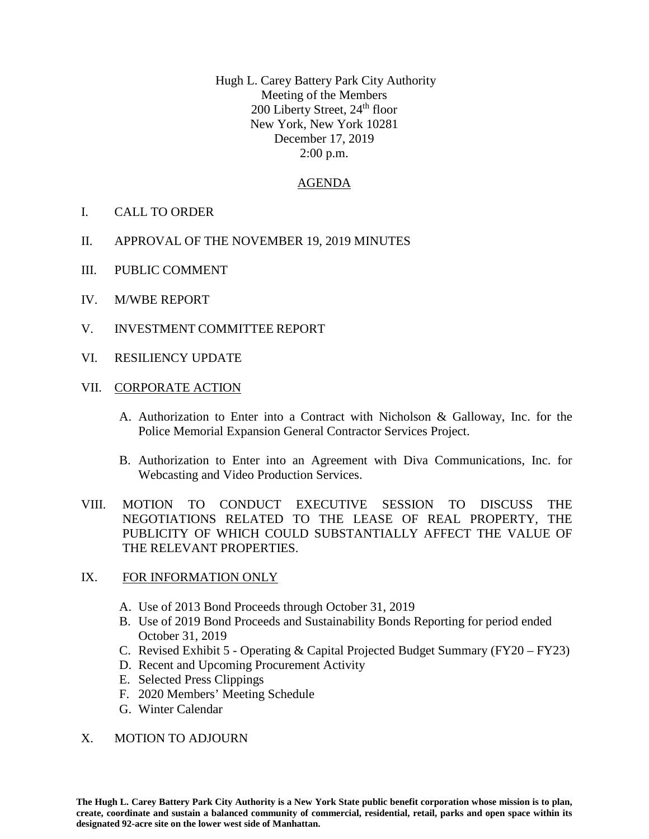Hugh L. Carey Battery Park City Authority Meeting of the Members 200 Liberty Street, 24<sup>th</sup> floor New York, New York 10281 December 17, 2019 2:00 p.m.

## AGENDA

- I. CALL TO ORDER
- II. APPROVAL OF THE NOVEMBER 19, 2019 MINUTES
- III. PUBLIC COMMENT
- IV. M/WBE REPORT
- V. INVESTMENT COMMITTEE REPORT
- VI. RESILIENCY UPDATE
- VII. CORPORATE ACTION
	- A. Authorization to Enter into a Contract with Nicholson & Galloway, Inc. for the Police Memorial Expansion General Contractor Services Project.
	- B. Authorization to Enter into an Agreement with Diva Communications, Inc. for Webcasting and Video Production Services.
- VIII. MOTION TO CONDUCT EXECUTIVE SESSION TO DISCUSS THE NEGOTIATIONS RELATED TO THE LEASE OF REAL PROPERTY, THE PUBLICITY OF WHICH COULD SUBSTANTIALLY AFFECT THE VALUE OF THE RELEVANT PROPERTIES.
- IX. FOR INFORMATION ONLY
	- A. Use of 2013 Bond Proceeds through October 31, 2019
	- B. Use of 2019 Bond Proceeds and Sustainability Bonds Reporting for period ended October 31, 2019
	- C. Revised Exhibit 5 Operating & Capital Projected Budget Summary (FY20 FY23)
	- D. Recent and Upcoming Procurement Activity
	- E. Selected Press Clippings
	- F. 2020 Members' Meeting Schedule
	- G. Winter Calendar

## X. MOTION TO ADJOURN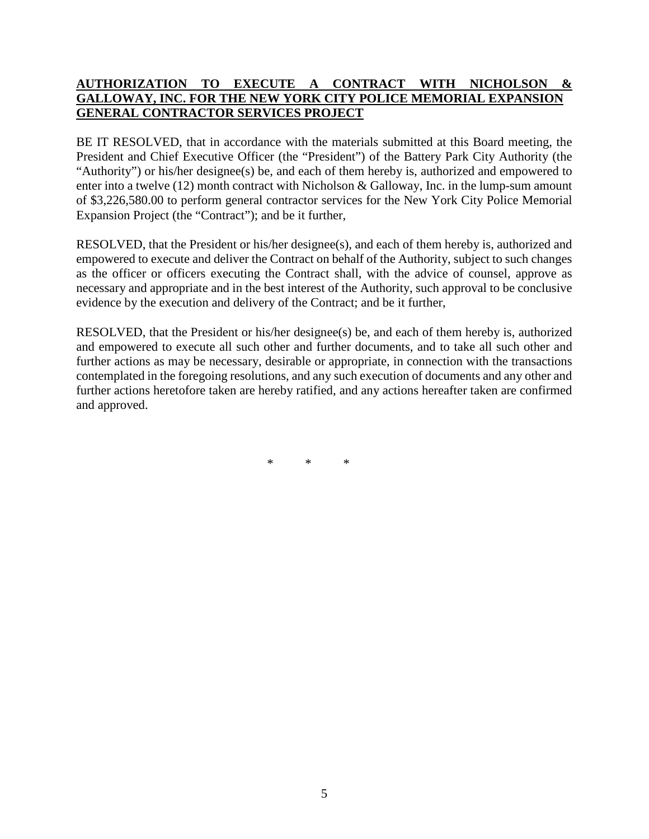## **AUTHORIZATION TO EXECUTE A CONTRACT WITH NICHOLSON & GALLOWAY, INC. FOR THE NEW YORK CITY POLICE MEMORIAL EXPANSION GENERAL CONTRACTOR SERVICES PROJECT**

BE IT RESOLVED, that in accordance with the materials submitted at this Board meeting, the President and Chief Executive Officer (the "President") of the Battery Park City Authority (the "Authority") or his/her designee(s) be, and each of them hereby is, authorized and empowered to enter into a twelve  $(12)$  month contract with Nicholson & Galloway, Inc. in the lump-sum amount of \$3,226,580.00 to perform general contractor services for the New York City Police Memorial Expansion Project (the "Contract"); and be it further,

RESOLVED, that the President or his/her designee(s), and each of them hereby is, authorized and empowered to execute and deliver the Contract on behalf of the Authority, subject to such changes as the officer or officers executing the Contract shall, with the advice of counsel, approve as necessary and appropriate and in the best interest of the Authority, such approval to be conclusive evidence by the execution and delivery of the Contract; and be it further,

RESOLVED, that the President or his/her designee(s) be, and each of them hereby is, authorized and empowered to execute all such other and further documents, and to take all such other and further actions as may be necessary, desirable or appropriate, in connection with the transactions contemplated in the foregoing resolutions, and any such execution of documents and any other and further actions heretofore taken are hereby ratified, and any actions hereafter taken are confirmed and approved.

\* \* \*